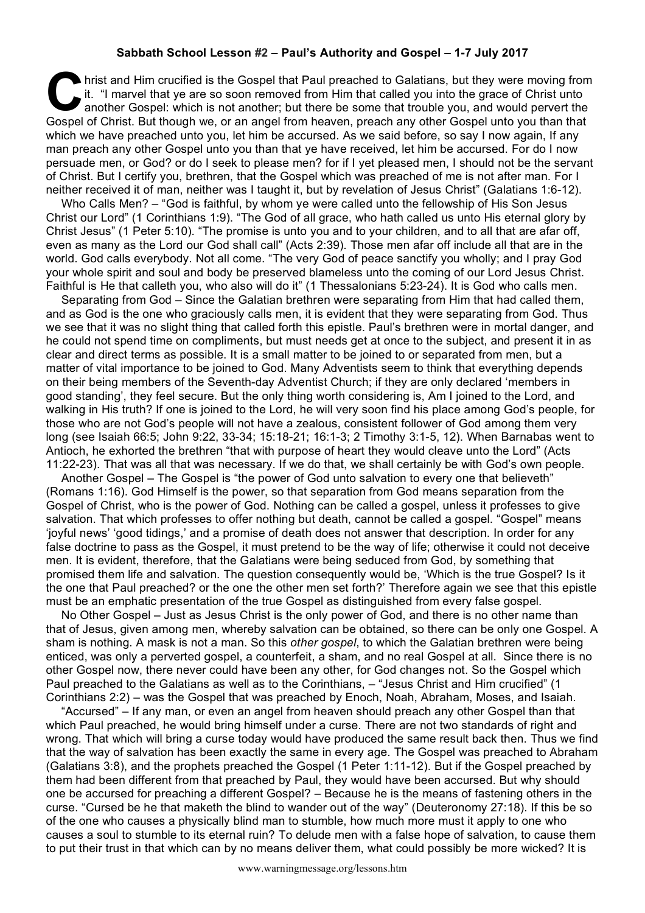## **Sabbath School Lesson #2 – Paul's Authority and Gospel – 1-7 July 2017**

hrist and Him crucified is the Gospel that Paul preached to Galatians, but they were moving from it. "I marvel that ye are so soon removed from Him that called you into the grace of Christ unto another Gospel: which is not it. "I marvel that ye are so soon removed from Him that called you into the grace of Christ unto another Gospel: which is not another; but there be some that trouble you, and would pervert the Gospel of Christ. But though we, or an angel from heaven, preach any other Gospel unto you than that which we have preached unto you, let him be accursed. As we said before, so say I now again, If any man preach any other Gospel unto you than that ye have received, let him be accursed. For do I now persuade men, or God? or do I seek to please men? for if I yet pleased men, I should not be the servant of Christ. But I certify you, brethren, that the Gospel which was preached of me is not after man. For I neither received it of man, neither was I taught it, but by revelation of Jesus Christ" (Galatians 1:6-12).

Who Calls Men? – "God is faithful, by whom ye were called unto the fellowship of His Son Jesus Christ our Lord" (1 Corinthians 1:9). "The God of all grace, who hath called us unto His eternal glory by Christ Jesus" (1 Peter 5:10). "The promise is unto you and to your children, and to all that are afar off, even as many as the Lord our God shall call" (Acts 2:39). Those men afar off include all that are in the world. God calls everybody. Not all come. "The very God of peace sanctify you wholly; and I pray God your whole spirit and soul and body be preserved blameless unto the coming of our Lord Jesus Christ. Faithful is He that calleth you, who also will do it" (1 Thessalonians 5:23-24). It is God who calls men.

Separating from God – Since the Galatian brethren were separating from Him that had called them, and as God is the one who graciously calls men, it is evident that they were separating from God. Thus we see that it was no slight thing that called forth this epistle. Paul's brethren were in mortal danger, and he could not spend time on compliments, but must needs get at once to the subject, and present it in as clear and direct terms as possible. It is a small matter to be joined to or separated from men, but a matter of vital importance to be joined to God. Many Adventists seem to think that everything depends on their being members of the Seventh-day Adventist Church; if they are only declared 'members in good standing', they feel secure. But the only thing worth considering is, Am I joined to the Lord, and walking in His truth? If one is joined to the Lord, he will very soon find his place among God's people, for those who are not God's people will not have a zealous, consistent follower of God among them very long (see Isaiah 66:5; John 9:22, 33-34; 15:18-21; 16:1-3; 2 Timothy 3:1-5, 12). When Barnabas went to Antioch, he exhorted the brethren "that with purpose of heart they would cleave unto the Lord" (Acts 11:22-23). That was all that was necessary. If we do that, we shall certainly be with God's own people.

Another Gospel – The Gospel is "the power of God unto salvation to every one that believeth" (Romans 1:16). God Himself is the power, so that separation from God means separation from the Gospel of Christ, who is the power of God. Nothing can be called a gospel, unless it professes to give salvation. That which professes to offer nothing but death, cannot be called a gospel. "Gospel" means 'joyful news' 'good tidings,' and a promise of death does not answer that description. In order for any false doctrine to pass as the Gospel, it must pretend to be the way of life; otherwise it could not deceive men. It is evident, therefore, that the Galatians were being seduced from God, by something that promised them life and salvation. The question consequently would be, 'Which is the true Gospel? Is it the one that Paul preached? or the one the other men set forth?' Therefore again we see that this epistle must be an emphatic presentation of the true Gospel as distinguished from every false gospel.

No Other Gospel – Just as Jesus Christ is the only power of God, and there is no other name than that of Jesus, given among men, whereby salvation can be obtained, so there can be only one Gospel. A sham is nothing. A mask is not a man. So this *other gospel*, to which the Galatian brethren were being enticed, was only a perverted gospel, a counterfeit, a sham, and no real Gospel at all. Since there is no other Gospel now, there never could have been any other, for God changes not. So the Gospel which Paul preached to the Galatians as well as to the Corinthians, – "Jesus Christ and Him crucified" (1 Corinthians 2:2) – was the Gospel that was preached by Enoch, Noah, Abraham, Moses, and Isaiah.

"Accursed" – If any man, or even an angel from heaven should preach any other Gospel than that which Paul preached, he would bring himself under a curse. There are not two standards of right and wrong. That which will bring a curse today would have produced the same result back then. Thus we find that the way of salvation has been exactly the same in every age. The Gospel was preached to Abraham (Galatians 3:8), and the prophets preached the Gospel (1 Peter 1:11-12). But if the Gospel preached by them had been different from that preached by Paul, they would have been accursed. But why should one be accursed for preaching a different Gospel? – Because he is the means of fastening others in the curse. "Cursed be he that maketh the blind to wander out of the way" (Deuteronomy 27:18). If this be so of the one who causes a physically blind man to stumble, how much more must it apply to one who causes a soul to stumble to its eternal ruin? To delude men with a false hope of salvation, to cause them to put their trust in that which can by no means deliver them, what could possibly be more wicked? It is